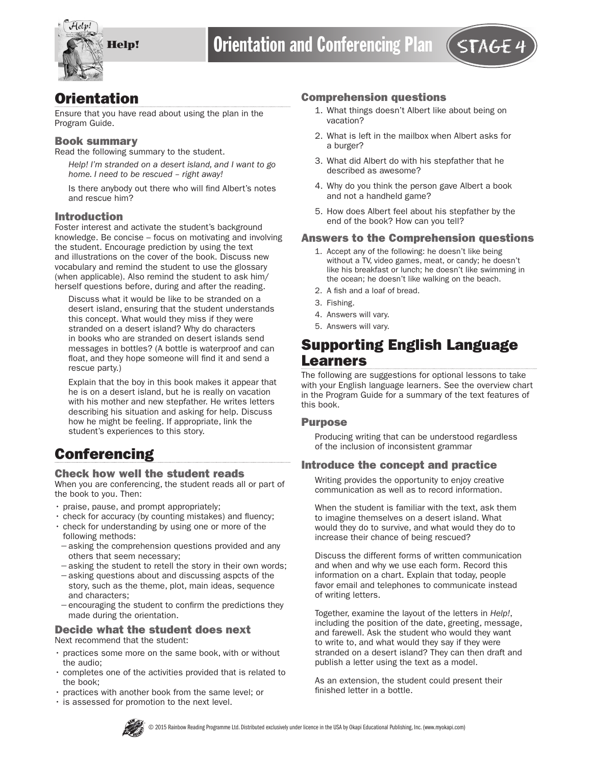

# **Orientation**

Ensure that you have read about using the plan in the Program Guide.

#### Book summary

Read the following summary to the student.

*Help! I'm stranded on a desert island, and I want to go home. I need to be rescued – right away!* 

Is there anybody out there who will find Albert's notes and rescue him?

#### Introduction

Foster interest and activate the student's background knowledge. Be concise – focus on motivating and involving the student. Encourage prediction by using the text and illustrations on the cover of the book. Discuss new vocabulary and remind the student to use the glossary (when applicable). Also remind the student to ask him/ herself questions before, during and after the reading.

Discuss what it would be like to be stranded on a desert island, ensuring that the student understands this concept. What would they miss if they were stranded on a desert island? Why do characters in books who are stranded on desert islands send messages in bottles? (A bottle is waterproof and can float, and they hope someone will find it and send a rescue party.)

Explain that the boy in this book makes it appear that he is on a desert island, but he is really on vacation with his mother and new stepfather. He writes letters describing his situation and asking for help. Discuss how he might be feeling. If appropriate, link the student's experiences to this story.

# **Conferencing**

#### Check how well the student reads

When you are conferencing, the student reads all or part of the book to you. Then:

- praise, pause, and prompt appropriately;
- check for accuracy (by counting mistakes) and fluency;
- check for understanding by using one or more of the following methods:
- −asking the comprehension questions provided and any others that seem necessary;
- −asking the student to retell the story in their own words;
- −asking questions about and discussing aspcts of the story, such as the theme, plot, main ideas, sequence and characters;
- −encouraging the student to confirm the predictions they made during the orientation.

### Decide what the student does next

Next recommend that the student:

- practices some more on the same book, with or without the audio;
- completes one of the activities provided that is related to the book;
- practices with another book from the same level; or
- is assessed for promotion to the next level.

#### Comprehension questions

- 1. What things doesn't Albert like about being on vacation?
- 2. What is left in the mailbox when Albert asks for a burger?
- 3. What did Albert do with his stepfather that he described as awesome?
- 4. Why do you think the person gave Albert a book and not a handheld game?
- 5. How does Albert feel about his stepfather by the end of the book? How can you tell?

#### Answers to the Comprehension questions

- 1. Accept any of the following: he doesn't like being without a TV, video games, meat, or candy; he doesn't like his breakfast or lunch; he doesn't like swimming in the ocean; he doesn't like walking on the beach.
- 2. A fish and a loaf of bread.
- 3. Fishing.
- 4. Answers will vary.
- 5. Answers will vary.

## Supporting English Language Learners

The following are suggestions for optional lessons to take with your English language learners. See the overview chart in the Program Guide for a summary of the text features of this book.

#### Purpose

Producing writing that can be understood regardless of the inclusion of inconsistent grammar

#### Introduce the concept and practice

Writing provides the opportunity to enjoy creative communication as well as to record information.

When the student is familiar with the text, ask them to imagine themselves on a desert island. What would they do to survive, and what would they do to increase their chance of being rescued?

Discuss the different forms of written communication and when and why we use each form. Record this information on a chart. Explain that today, people favor email and telephones to communicate instead of writing letters.

Together, examine the layout of the letters in *Help!*, including the position of the date, greeting, message, and farewell. Ask the student who would they want to write to, and what would they say if they were stranded on a desert island? They can then draft and publish a letter using the text as a model.

As an extension, the student could present their finished letter in a bottle.

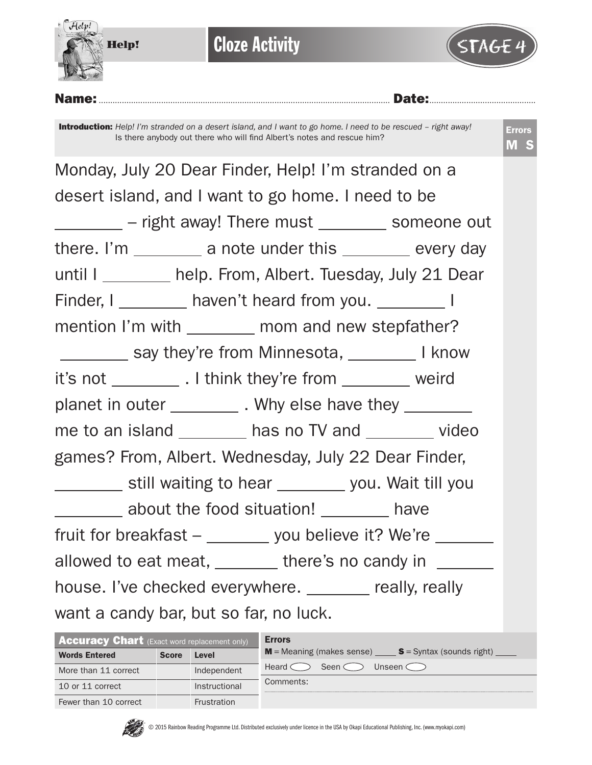

**Cloze Activity** 



Name:.............................................................................................................................. Date:..............................................

Introduction: *Help! I'm stranded on a desert island, and I want to go home. I need to be rescued – right away!*  Is there anybody out there who will find Albert's notes and rescue him?

| Monday, July 20 Dear Finder, Help! I'm stranded on a         |  |  |  |  |  |  |  |  |  |
|--------------------------------------------------------------|--|--|--|--|--|--|--|--|--|
| desert island, and I want to go home. I need to be           |  |  |  |  |  |  |  |  |  |
| _________ - right away! There must ________ someone out      |  |  |  |  |  |  |  |  |  |
| there. I'm __________ a note under this _________ every day  |  |  |  |  |  |  |  |  |  |
| until I ________ help. From, Albert. Tuesday, July 21 Dear   |  |  |  |  |  |  |  |  |  |
| Finder, I ________ haven't heard from you. _________ I       |  |  |  |  |  |  |  |  |  |
| mention I'm with _________ mom and new stepfather?           |  |  |  |  |  |  |  |  |  |
| ___________ say they're from Minnesota, __________ I know    |  |  |  |  |  |  |  |  |  |
| it's not ____________. I think they're from __________ weird |  |  |  |  |  |  |  |  |  |
| planet in outer ___________. Why else have they __________   |  |  |  |  |  |  |  |  |  |
| me to an island _________ has no TV and ________ video       |  |  |  |  |  |  |  |  |  |
| games? From, Albert. Wednesday, July 22 Dear Finder,         |  |  |  |  |  |  |  |  |  |
| _________ still waiting to hear ________ you. Wait till you  |  |  |  |  |  |  |  |  |  |
| _________ about the food situation! ________ have            |  |  |  |  |  |  |  |  |  |
| fruit for breakfast - _______ you believe it? We're ______   |  |  |  |  |  |  |  |  |  |
| allowed to eat meat, _______ there's no candy in ______      |  |  |  |  |  |  |  |  |  |
| house. I've checked everywhere. _______ really, really       |  |  |  |  |  |  |  |  |  |
| want a candy bar, but so far, no luck.                       |  |  |  |  |  |  |  |  |  |

| <b>Accuracy Chart</b> (Exact word replacement only) |              |                    | <b>Errors</b>                                                           |  |  |  |  |  |  |
|-----------------------------------------------------|--------------|--------------------|-------------------------------------------------------------------------|--|--|--|--|--|--|
| <b>Words Entered</b>                                | <b>Score</b> | Level              | $M =$ Meaning (makes sense) $S =$ Syntax (sounds right) $\qquad \qquad$ |  |  |  |  |  |  |
| More than 11 correct                                |              | Independent        | Seen $\subset$<br>Unseen $\subset$ $\supset$<br>Heard $\subset$         |  |  |  |  |  |  |
| 10 or 11 correct                                    |              | Instructional      | Comments:                                                               |  |  |  |  |  |  |
| Fewer than 10 correct                               |              | <b>Frustration</b> |                                                                         |  |  |  |  |  |  |

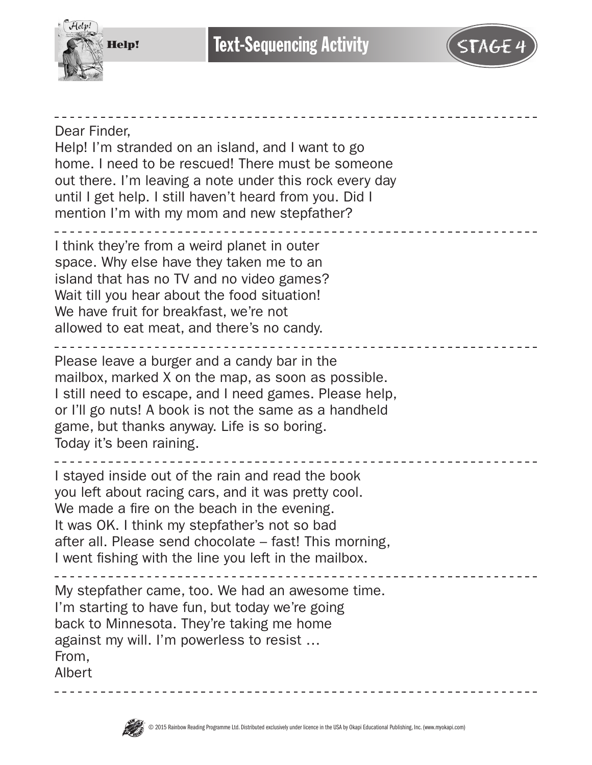

**Text-Sequencing Activity** 

Dear Finder, Help! I'm stranded on an island, and I want to go home. I need to be rescued! There must be someone out there. I'm leaving a note under this rock every day until I get help. I still haven't heard from you. Did I mention I'm with my mom and new stepfather? I think they're from a weird planet in outer space. Why else have they taken me to an island that has no TV and no video games? Wait till you hear about the food situation! We have fruit for breakfast, we're not allowed to eat meat, and there's no candy. Please leave a burger and a candy bar in the mailbox, marked X on the map, as soon as possible. I still need to escape, and I need games. Please help, or I'll go nuts! A book is not the same as a handheld game, but thanks anyway. Life is so boring. Today it's been raining. I stayed inside out of the rain and read the book you left about racing cars, and it was pretty cool. We made a fire on the beach in the evening. It was OK. I think my stepfather's not so bad after all. Please send chocolate – fast! This morning, I went fishing with the line you left in the mailbox. My stepfather came, too. We had an awesome time. I'm starting to have fun, but today we're going back to Minnesota. They're taking me home against my will. I'm powerless to resist … From, Albert

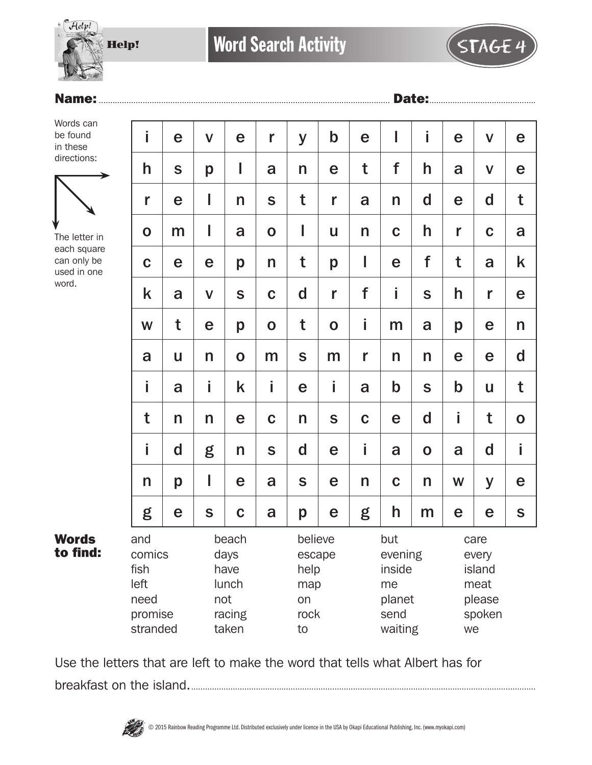

## Name:.............................................................................................................................. Date:..............................................

Words can be found in these directions:



The letter in each square can only be used in one word.

| i                                     | e                                                                               | $\mathbf V$  | e                                                    | r           | y           | $\mathsf b$                                                 | e            | I           | i                                                         | e           | $\mathbf v$  | e           |
|---------------------------------------|---------------------------------------------------------------------------------|--------------|------------------------------------------------------|-------------|-------------|-------------------------------------------------------------|--------------|-------------|-----------------------------------------------------------|-------------|--------------|-------------|
| h                                     | S                                                                               | p            | I                                                    | a           | n           | e                                                           | t            | f           | h                                                         | a           | $\mathbf v$  | e           |
| r                                     | e                                                                               | I            | n                                                    | S           | t           | r                                                           | a            | n           | $\mathbf d$                                               | e           | $\mathsf{d}$ | t           |
| $\mathbf O$                           | m                                                                               | I            | a                                                    | $\mathbf O$ | I           | U                                                           | $\mathsf{n}$ | $\mathbf C$ | h                                                         | r           | $\mathbf C$  | a           |
| $\mathbf C$                           | e                                                                               | e            | p                                                    | n           | t           | p                                                           | I            | e           | f                                                         | t           | a            | k           |
| k                                     | a                                                                               | $\mathbf V$  | S                                                    | $\mathbf C$ | d           | r                                                           | f            | İ           | S                                                         | h           | r            | e           |
| W                                     | t                                                                               | e            | p                                                    | $\mathbf O$ | t           | $\mathbf 0$                                                 | İ.           | m           | a                                                         | p           | e            | n           |
| a                                     | U                                                                               | n            | $\mathbf 0$                                          | m           | $\mathbf S$ | m                                                           | r            | n           | n                                                         | e           | e            | $\mathbf d$ |
| İ.                                    | a                                                                               | İ            | k                                                    | İ           | e           | i                                                           | a            | $\mathbf b$ | S                                                         | $\mathbf b$ | $\mathbf{u}$ | t           |
| t                                     | n                                                                               | n            | e                                                    | $\mathbf C$ | n           | S                                                           | $\mathbf C$  | e           | $\mathbf d$                                               | i           | t            | $\mathbf O$ |
| i                                     | d                                                                               | g            | n                                                    | S           | d           | e                                                           | i.           | a           | $\mathbf 0$                                               | a           | d            | İ           |
| n                                     | p                                                                               | I            | e                                                    | a           | S           | e                                                           | n            | $\mathbf C$ | n                                                         | W           | y            | e           |
| g                                     | e                                                                               | $\mathsf{s}$ | $\mathbf C$                                          | a           | p           | e                                                           | g            | h           | m                                                         | e           | e            | $\mathsf S$ |
| and<br>comics<br>fish<br>left<br>need | beach<br>days<br>have<br>lunch<br>not<br>promise<br>racing<br>stranded<br>taken |              | believe<br>escape<br>help<br>map<br>on<br>rock<br>to |             |             | but<br>evening<br>inside<br>me<br>planet<br>send<br>waiting |              |             | care<br>every<br>island<br>meat<br>please<br>spoken<br>we |             |              |             |

Words to find:

Use the letters that are left to make the word that tells what Albert has for breakfast on the island......................................................................................................................................................

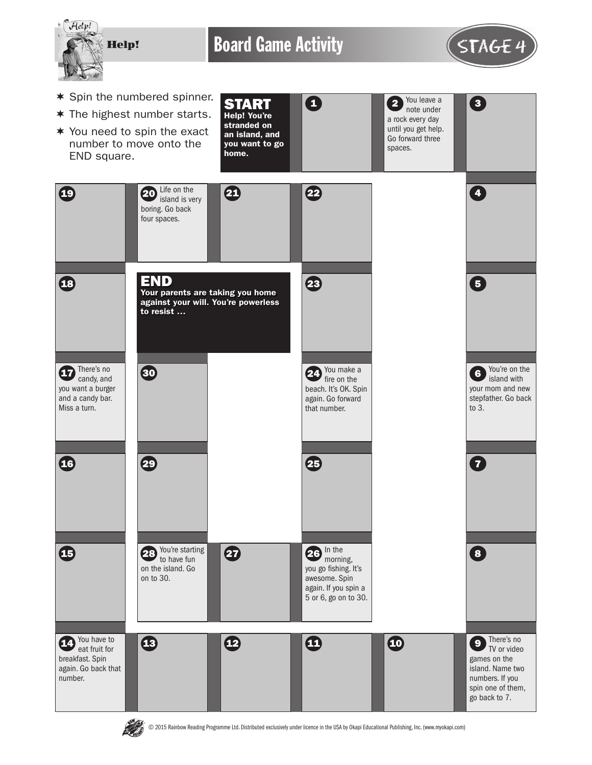

Board Game Activity **STAGE 4** 



- $*$  Spin the numbered spinner.
- $*$  The highest number starts.
- $*$  You need to spin the exact number to move onto the END square.
- START Help! You're stranded on an island, and you want to go home. 0
- $2$  You leave a  $3$ note under a rock every day until you get help. Go forward three spaces.